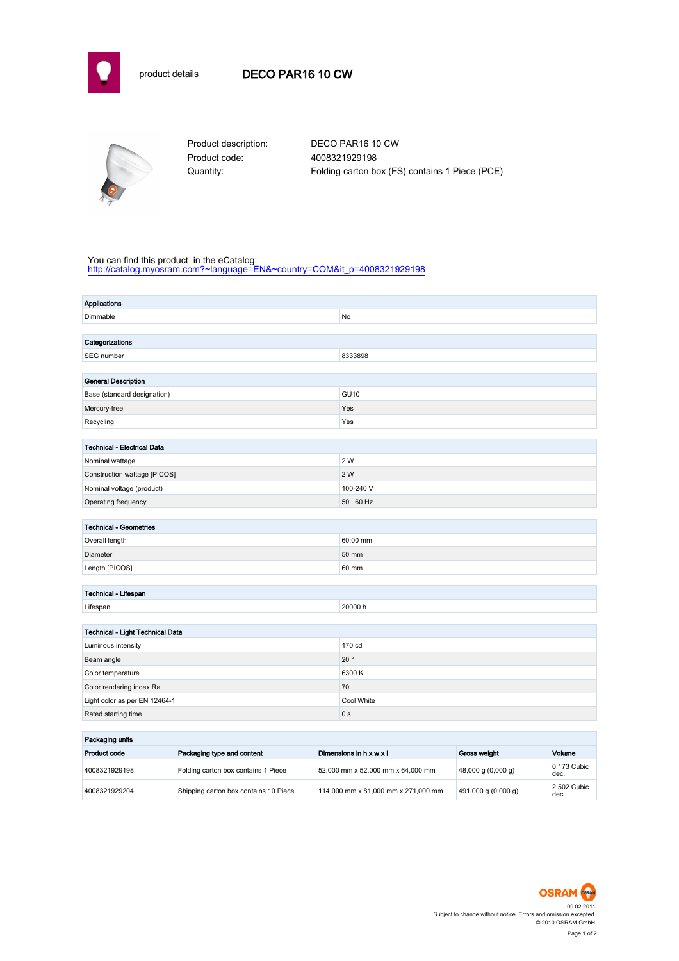



Product code: 4008321929198

Product description: DECO PAR16 10 CW Quantity: Folding carton box (FS) contains 1 Piece (PCE)

## You can find this product in the eCatalog:

[http://catalog.myosram.com?~language=EN&~country=COM&it\\_p=4008321929198](http://catalog.myosram.com?~language=EN&~country=COM&it_p=4008321929198)

| <b>Applications</b>                |                |
|------------------------------------|----------------|
| Dimmable                           | No             |
|                                    |                |
| Categorizations                    |                |
| SEG number                         | 8333898        |
|                                    |                |
| <b>General Description</b>         |                |
| Base (standard designation)        | <b>GU10</b>    |
| Mercury-free                       | Yes            |
| Recycling                          | Yes            |
|                                    |                |
| <b>Technical - Electrical Data</b> |                |
| Nominal wattage                    | 2 W            |
| Construction wattage [PICOS]       | 2 W            |
| Nominal voltage (product)          | 100-240 V      |
| Operating frequency                | 5060 Hz        |
|                                    |                |
| <b>Technical - Geometries</b>      |                |
| Overall length                     | 60.00 mm       |
| Diameter                           | 50 mm          |
| Length [PICOS]                     | 60 mm          |
|                                    |                |
| Technical - Lifespan               |                |
| Lifespan                           | 20000 h        |
|                                    |                |
| Technical - Light Technical Data   |                |
| Luminous intensity                 | 170 cd         |
| Beam angle                         | 20 $^{\circ}$  |
| Color temperature                  | 6300 K         |
| Color rendering index Ra           | 70             |
| Light color as per EN 12464-1      | Cool White     |
| Rated starting time                | 0 <sub>s</sub> |
| the company's company's service    |                |

| Packaging units |                                       |                                     |                                         |                     |  |
|-----------------|---------------------------------------|-------------------------------------|-----------------------------------------|---------------------|--|
| Product code    | Packaging type and content            | Dimensions in h x w x l             | <b>Gross weight</b>                     | Volume              |  |
| 4008321929198   | Folding carton box contains 1 Piece   | 52,000 mm x 52,000 mm x 64,000 mm   | $(48,000 \text{ g} (0,000 \text{ g}))$  | 0.173 Cubic<br>dec. |  |
| 4008321929204   | Shipping carton box contains 10 Piece | 114,000 mm x 81,000 mm x 271,000 mm | $ 491,000 \text{ g} (0,000 \text{ g}) $ | 2.502 Cubic<br>dec. |  |